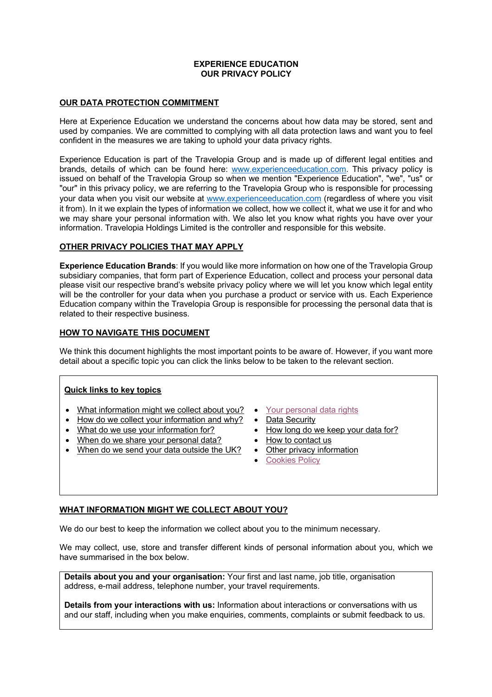### **EXPERIENCE EDUCATION OUR PRIVACY POLICY**

### **OUR DATA PROTECTION COMMITMENT**

Here at Experience Education we understand the concerns about how data may be stored, sent and used by companies. We are committed to complying with all data protection laws and want you to feel confident in the measures we are taking to uphold your data privacy rights.

Experience Education is part of the Travelopia Group and is made up of different legal entities and brands, details of which can be found here: www.experienceeducation.com. This privacy policy is issued on behalf of the Travelopia Group so when we mention "Experience Education", "we", "us" or "our" in this privacy policy, we are referring to the Travelopia Group who is responsible for processing your data when you visit our website at www.experienceeducation.com (regardless of where you visit it from). In it we explain the types of information we collect, how we collect it, what we use it for and who we may share your personal information with. We also let you know what rights you have over your information. Travelopia Holdings Limited is the controller and responsible for this website.

# **OTHER PRIVACY POLICIES THAT MAY APPLY**

**Experience Education Brands**: If you would like more information on how one of the Travelopia Group subsidiary companies, that form part of Experience Education, collect and process your personal data please visit our respective brand's website privacy policy where we will let you know which legal entity will be the controller for your data when you purchase a product or service with us. Each Experience Education company within the Travelopia Group is responsible for processing the personal data that is related to their respective business.

# **HOW TO NAVIGATE THIS DOCUMENT**

We think this document highlights the most important points to be aware of. However, if you want more detail about a specific topic you can click the links below to be taken to the relevant section.

# **Quick links to key topics**

- What information might we collect about you?
- How do we collect your information and why?
- What do we use your information for?
- When do we share your personal data?
- When do we send your data outside the UK?
- Your personal data rights
- Data Security
- How long do we keep your data for?
- How to contact us
- Other privacy information
- Cookies Policy

# **WHAT INFORMATION MIGHT WE COLLECT ABOUT YOU?**

We do our best to keep the information we collect about you to the minimum necessary.

We may collect, use, store and transfer different kinds of personal information about you, which we have summarised in the box below.

**Details about you and your organisation:** Your first and last name, job title, organisation address, e-mail address, telephone number, your travel requirements.

**Details from your interactions with us:** Information about interactions or conversations with us and our staff, including when you make enquiries, comments, complaints or submit feedback to us.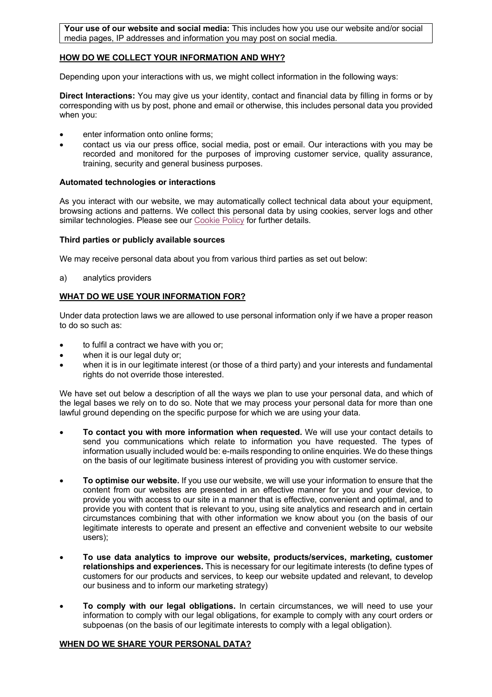**Your use of our website and social media:** This includes how you use our website and/or social media pages, IP addresses and information you may post on social media.

### **HOW DO WE COLLECT YOUR INFORMATION AND WHY?**

Depending upon your interactions with us, we might collect information in the following ways:

**Direct Interactions:** You may give us your identity, contact and financial data by filling in forms or by corresponding with us by post, phone and email or otherwise, this includes personal data you provided when you:

- enter information onto online forms:
- contact us via our press office, social media, post or email. Our interactions with you may be recorded and monitored for the purposes of improving customer service, quality assurance, training, security and general business purposes.

#### **Automated technologies or interactions**

As you interact with our website, we may automatically collect technical data about your equipment, browsing actions and patterns. We collect this personal data by using cookies, server logs and other similar technologies. Please see our Cookie Policy for further details.

### **Third parties or publicly available sources**

We may receive personal data about you from various third parties as set out below:

a) analytics providers

### **WHAT DO WE USE YOUR INFORMATION FOR?**

Under data protection laws we are allowed to use personal information only if we have a proper reason to do so such as:

- to fulfil a contract we have with you or;
- when it is our legal duty or:
- when it is in our legitimate interest (or those of a third party) and your interests and fundamental rights do not override those interested.

We have set out below a description of all the ways we plan to use your personal data, and which of the legal bases we rely on to do so. Note that we may process your personal data for more than one lawful ground depending on the specific purpose for which we are using your data.

- **To contact you with more information when requested.** We will use your contact details to send you communications which relate to information you have requested. The types of information usually included would be: e-mails responding to online enquiries. We do these things on the basis of our legitimate business interest of providing you with customer service.
- **To optimise our website.** If you use our website, we will use your information to ensure that the content from our websites are presented in an effective manner for you and your device, to provide you with access to our site in a manner that is effective, convenient and optimal, and to provide you with content that is relevant to you, using site analytics and research and in certain circumstances combining that with other information we know about you (on the basis of our legitimate interests to operate and present an effective and convenient website to our website users);
- **To use data analytics to improve our website, products/services, marketing, customer relationships and experiences.** This is necessary for our legitimate interests (to define types of customers for our products and services, to keep our website updated and relevant, to develop our business and to inform our marketing strategy)
- **To comply with our legal obligations.** In certain circumstances, we will need to use your information to comply with our legal obligations, for example to comply with any court orders or subpoenas (on the basis of our legitimate interests to comply with a legal obligation).

#### **WHEN DO WE SHARE YOUR PERSONAL DATA?**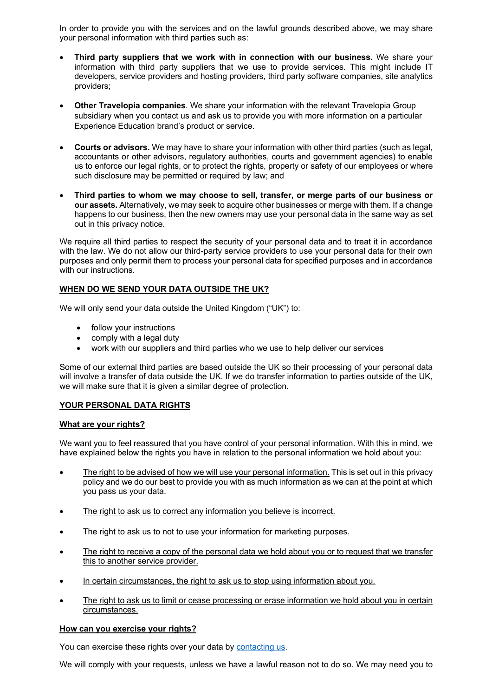In order to provide you with the services and on the lawful grounds described above, we may share your personal information with third parties such as:

- **Third party suppliers that we work with in connection with our business.** We share your information with third party suppliers that we use to provide services. This might include IT developers, service providers and hosting providers, third party software companies, site analytics providers;
- **Other Travelopia companies**. We share your information with the relevant Travelopia Group subsidiary when you contact us and ask us to provide you with more information on a particular Experience Education brand's product or service.
- **Courts or advisors.** We may have to share your information with other third parties (such as legal, accountants or other advisors, regulatory authorities, courts and government agencies) to enable us to enforce our legal rights, or to protect the rights, property or safety of our employees or where such disclosure may be permitted or required by law; and
- **Third parties to whom we may choose to sell, transfer, or merge parts of our business or our assets.** Alternatively, we may seek to acquire other businesses or merge with them. If a change happens to our business, then the new owners may use your personal data in the same way as set out in this privacy notice.

We require all third parties to respect the security of your personal data and to treat it in accordance with the law. We do not allow our third-party service providers to use your personal data for their own purposes and only permit them to process your personal data for specified purposes and in accordance with our instructions.

# **WHEN DO WE SEND YOUR DATA OUTSIDE THE UK?**

We will only send your data outside the United Kingdom ("UK") to:

- follow your instructions
- comply with a legal duty
- work with our suppliers and third parties who we use to help deliver our services

Some of our external third parties are based outside the UK so their processing of your personal data will involve a transfer of data outside the UK. If we do transfer information to parties outside of the UK, we will make sure that it is given a similar degree of protection.

# **YOUR PERSONAL DATA RIGHTS**

# **What are your rights?**

We want you to feel reassured that you have control of your personal information. With this in mind, we have explained below the rights you have in relation to the personal information we hold about you:

- The right to be advised of how we will use your personal information. This is set out in this privacy policy and we do our best to provide you with as much information as we can at the point at which you pass us your data.
- The right to ask us to correct any information you believe is incorrect.
- The right to ask us to not to use your information for marketing purposes.
- The right to receive a copy of the personal data we hold about you or to request that we transfer this to another service provider.
- In certain circumstances, the right to ask us to stop using information about you.
- The right to ask us to limit or cease processing or erase information we hold about you in certain circumstances.

# **How can you exercise your rights?**

You can exercise these rights over your data by contacting us.

We will comply with your requests, unless we have a lawful reason not to do so. We may need you to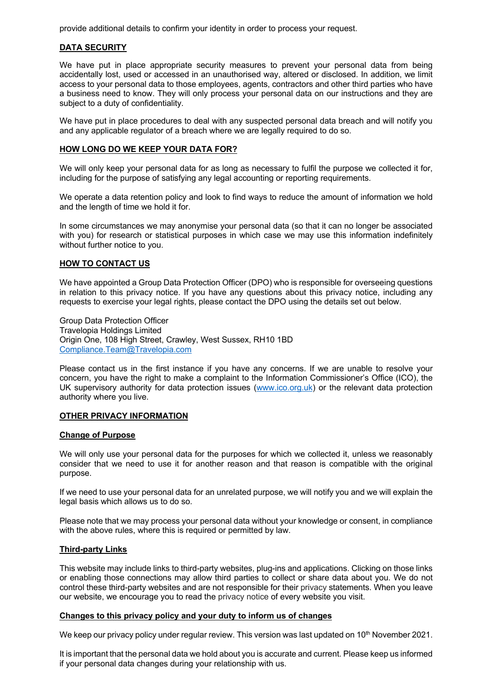provide additional details to confirm your identity in order to process your request.

# **DATA SECURITY**

We have put in place appropriate security measures to prevent your personal data from being accidentally lost, used or accessed in an unauthorised way, altered or disclosed. In addition, we limit access to your personal data to those employees, agents, contractors and other third parties who have a business need to know. They will only process your personal data on our instructions and they are subject to a duty of confidentiality.

We have put in place procedures to deal with any suspected personal data breach and will notify you and any applicable regulator of a breach where we are legally required to do so.

#### **HOW LONG DO WE KEEP YOUR DATA FOR?**

We will only keep your personal data for as long as necessary to fulfil the purpose we collected it for, including for the purpose of satisfying any legal accounting or reporting requirements.

We operate a data retention policy and look to find ways to reduce the amount of information we hold and the length of time we hold it for.

In some circumstances we may anonymise your personal data (so that it can no longer be associated with you) for research or statistical purposes in which case we may use this information indefinitely without further notice to you.

#### **HOW TO CONTACT US**

We have appointed a Group Data Protection Officer (DPO) who is responsible for overseeing questions in relation to this privacy notice. If you have any questions about this privacy notice, including any requests to exercise your legal rights, please contact the DPO using the details set out below.

Group Data Protection Officer Travelopia Holdings Limited Origin One, 108 High Street, Crawley, West Sussex, RH10 1BD Compliance.Team@Travelopia.com

Please contact us in the first instance if you have any concerns. If we are unable to resolve your concern, you have the right to make a complaint to the Information Commissioner's Office (ICO), the UK supervisory authority for data protection issues (www.ico.org.uk) or the relevant data protection authority where you live.

#### **OTHER PRIVACY INFORMATION**

#### **Change of Purpose**

We will only use your personal data for the purposes for which we collected it, unless we reasonably consider that we need to use it for another reason and that reason is compatible with the original purpose.

If we need to use your personal data for an unrelated purpose, we will notify you and we will explain the legal basis which allows us to do so.

Please note that we may process your personal data without your knowledge or consent, in compliance with the above rules, where this is required or permitted by law.

#### **Third-party Links**

This website may include links to third-party websites, plug-ins and applications. Clicking on those links or enabling those connections may allow third parties to collect or share data about you. We do not control these third-party websites and are not responsible for their privacy statements. When you leave our website, we encourage you to read the privacy notice of every website you visit.

### **Changes to this privacy policy and your duty to inform us of changes**

We keep our privacy policy under regular review. This version was last updated on 10<sup>th</sup> November 2021.

It is important that the personal data we hold about you is accurate and current. Please keep us informed if your personal data changes during your relationship with us.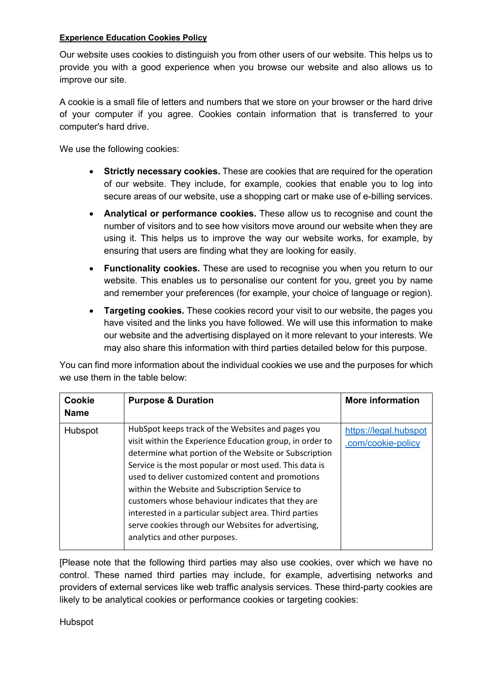# **Experience Education Cookies Policy**

Our website uses cookies to distinguish you from other users of our website. This helps us to provide you with a good experience when you browse our website and also allows us to improve our site.

A cookie is a small file of letters and numbers that we store on your browser or the hard drive of your computer if you agree. Cookies contain information that is transferred to your computer's hard drive.

We use the following cookies:

- **Strictly necessary cookies.** These are cookies that are required for the operation of our website. They include, for example, cookies that enable you to log into secure areas of our website, use a shopping cart or make use of e-billing services.
- **Analytical or performance cookies.** These allow us to recognise and count the number of visitors and to see how visitors move around our website when they are using it. This helps us to improve the way our website works, for example, by ensuring that users are finding what they are looking for easily.
- **Functionality cookies.** These are used to recognise you when you return to our website. This enables us to personalise our content for you, greet you by name and remember your preferences (for example, your choice of language or region).
- **Targeting cookies.** These cookies record your visit to our website, the pages you have visited and the links you have followed. We will use this information to make our website and the advertising displayed on it more relevant to your interests. We may also share this information with third parties detailed below for this purpose.

You can find more information about the individual cookies we use and the purposes for which we use them in the table below:

| Cookie<br><b>Name</b> | <b>Purpose &amp; Duration</b>                                                                                                                                                                                                                                                                                                                                                                                                                                                                                                                  | <b>More information</b>                     |
|-----------------------|------------------------------------------------------------------------------------------------------------------------------------------------------------------------------------------------------------------------------------------------------------------------------------------------------------------------------------------------------------------------------------------------------------------------------------------------------------------------------------------------------------------------------------------------|---------------------------------------------|
| Hubspot               | HubSpot keeps track of the Websites and pages you<br>visit within the Experience Education group, in order to<br>determine what portion of the Website or Subscription<br>Service is the most popular or most used. This data is<br>used to deliver customized content and promotions<br>within the Website and Subscription Service to<br>customers whose behaviour indicates that they are<br>interested in a particular subject area. Third parties<br>serve cookies through our Websites for advertising,<br>analytics and other purposes. | https://legal.hubspot<br>.com/cookie-policy |

[Please note that the following third parties may also use cookies, over which we have no control. These named third parties may include, for example, advertising networks and providers of external services like web traffic analysis services. These third-party cookies are likely to be analytical cookies or performance cookies or targeting cookies:

Hubspot